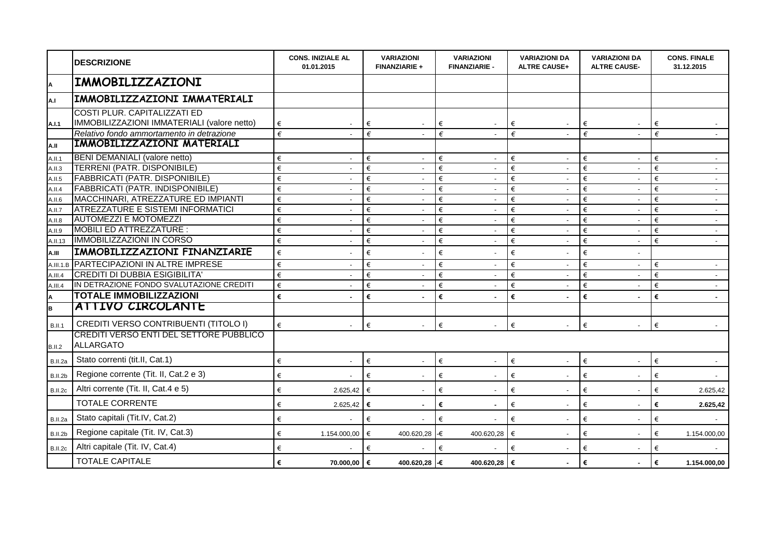|                | <b>DESCRIZIONE</b>                                                                       | <b>CONS. INIZIALE AL</b><br>01.01.2015 |                          | <b>VARIAZIONI</b><br><b>FINANZIARIE +</b> |        | <b>VARIAZIONI</b><br><b>FINANZIARIE -</b> | <b>VARIAZIONI DA</b><br><b>ALTRE CAUSE+</b> | <b>VARIAZIONI DA</b><br><b>ALTRE CAUSE-</b> | <b>CONS. FINALE</b><br>31.12.2015 |  |
|----------------|------------------------------------------------------------------------------------------|----------------------------------------|--------------------------|-------------------------------------------|--------|-------------------------------------------|---------------------------------------------|---------------------------------------------|-----------------------------------|--|
| A              | IMMOBILIZZAZIONI                                                                         |                                        |                          |                                           |        |                                           |                                             |                                             |                                   |  |
| A.I            | IMMOBILIZZAZIONI IMMATERIALI                                                             |                                        |                          |                                           |        |                                           |                                             |                                             |                                   |  |
|                | <b>COSTI PLUR. CAPITALIZZATI ED</b>                                                      |                                        |                          |                                           |        |                                           |                                             |                                             |                                   |  |
| A.I.1          | IMMOBILIZZAZIONI IMMATERIALI (valore netto)<br>Relativo fondo ammortamento in detrazione | €<br>€                                 |                          | €<br>$\blacksquare$<br>€                  | €<br>€ | $\overline{\phantom{a}}$                  | €<br>€                                      | €<br>€                                      | €<br>€                            |  |
| A.II           | IMMOBILIZZAZIONI MATERIALI                                                               |                                        |                          |                                           |        |                                           |                                             |                                             |                                   |  |
| A.II.1         | <b>BENI DEMANIALI (valore netto)</b>                                                     | €                                      | $\overline{\phantom{a}}$ | €<br>$\mathbf{r}$                         | €      | $\overline{\phantom{a}}$                  | €<br>$\sim$                                 | €<br>$\sim$                                 | €<br>$\sim$                       |  |
| A.II.3         | <b>TERRENI (PATR. DISPONIBILE)</b>                                                       | €                                      |                          | €<br>$\blacksquare$                       | €      | $\blacksquare$                            | €                                           | €                                           | €<br>$\sim$                       |  |
| A.II.5         | <b>FABBRICATI (PATR. DISPONIBILE)</b>                                                    | $\in$                                  |                          | €                                         | €      |                                           | €                                           | €                                           | €<br>$\sim$                       |  |
| A.II.4         | <b>FABBRICATI (PATR. INDISPONIBILE)</b>                                                  | €                                      |                          | €<br>$\blacksquare$                       | €      | $\overline{\phantom{a}}$                  | €                                           | €                                           | €<br>$\blacksquare$               |  |
| A.II.6         | MACCHINARI, ATREZZATURE ED IMPIANTI                                                      | €                                      |                          | €<br>$\blacksquare$                       | €      | $\overline{\phantom{a}}$                  | €                                           | €                                           | €<br>$\blacksquare$               |  |
| A.II.7         | <b>ATREZZATURE E SISTEMI INFORMATICI</b>                                                 | €                                      |                          | €<br>$\mathbf{r}$                         | €      | $\mathcal{L}^{\pm}$                       | €<br>$\mathcal{L}^{\mathcal{A}}$            | €<br>$\sim$                                 | €<br>$\sim$                       |  |
| A.II.8         | <b>AUTOMEZZI E MOTOMEZZI</b>                                                             | €                                      | $\overline{\phantom{a}}$ | €<br>$\blacksquare$                       | €      | $\sim$                                    | €<br>$\sim$                                 | €<br>$\blacksquare$                         | €<br>$\sim$                       |  |
| A.II.9         | MOBILI ED ATTREZZATURE :                                                                 | €                                      |                          | €<br>$\blacksquare$                       | €      | $\blacksquare$                            | €                                           | €                                           | €<br>$\sim$                       |  |
| A.II.13        | <b>IMMOBILIZZAZIONI IN CORSO</b>                                                         | €                                      |                          | €                                         | €      | $\overline{\phantom{a}}$                  | €                                           | €                                           | €<br>$\overline{\phantom{a}}$     |  |
| A.III          | IMMOBILIZZAZIONI FINANZIARIE                                                             | €                                      |                          | €                                         | €      | $\overline{a}$                            | €                                           | €                                           |                                   |  |
| A.III.1.B      | <b>PARTECIPAZIONI IN ALTRE IMPRESE</b>                                                   | €                                      |                          | €<br>$\mathbf{r}$                         | €      | $\sim$                                    | €<br>$\sim$                                 | €<br>$\overline{a}$                         | €<br>$\sim$                       |  |
| A.III.4        | <b>CREDITI DI DUBBIA ESIGIBILITA'</b>                                                    | €                                      |                          | €<br>$\blacksquare$                       | €      | $\blacksquare$                            | €                                           | €                                           | €<br>$\sim$                       |  |
| A.III.4        | IN DETRAZIONE FONDO SVALUTAZIONE CREDITI                                                 | €                                      |                          | €                                         | €      | $\overline{\phantom{a}}$                  | €                                           | €                                           | €<br>$\sim$                       |  |
| A              | <b>TOTALE IMMOBILIZZAZIONI</b>                                                           | €                                      |                          | €                                         | €      |                                           | €                                           | €                                           | €<br>$\blacksquare$               |  |
| B              | ATTIVO CIRCOLANTE                                                                        |                                        |                          |                                           |        |                                           |                                             |                                             |                                   |  |
| <b>B.II.1</b>  | CREDITI VERSO CONTRIBUENTI (TITOLO I)                                                    | €                                      |                          | €<br>$\blacksquare$                       | $\in$  | $\sim$                                    | $\in$<br>$\sim$                             | €<br>$\overline{\phantom{a}}$               | $\in$<br>$\sim$                   |  |
|                | <b>CREDITI VERSO ENTI DEL SETTORE PUBBLICO</b>                                           |                                        |                          |                                           |        |                                           |                                             |                                             |                                   |  |
| <b>B.II.2</b>  | ALLARGATO                                                                                |                                        |                          |                                           |        |                                           |                                             |                                             |                                   |  |
| B.II.2a        | Stato correnti (tit.II, Cat.1)                                                           | €                                      |                          | €<br>$\blacksquare$                       | €      | $\overline{\phantom{a}}$                  | €                                           | $\in$                                       | €                                 |  |
| B.II.2b        | Regione corrente (Tit. II, Cat.2 e 3)                                                    | €                                      |                          | €<br>$\blacksquare$                       | €      | $\overline{\phantom{a}}$                  | €<br>$\sim$                                 | €<br>$\overline{\phantom{a}}$               | €<br>$\overline{\phantom{a}}$     |  |
| B.II.2c        | Altri corrente (Tit. II, Cat.4 e 5)                                                      | €                                      | 2.625,42                 | €<br>$\blacksquare$                       | €      | $\blacksquare$                            | €<br>$\sim$                                 | €                                           | €<br>2.625,42                     |  |
|                | <b>TOTALE CORRENTE</b>                                                                   | €                                      | 2.625,42                 | ∣€<br>$\blacksquare$                      | €      | $\sim$                                    | €                                           | €                                           | €<br>2.625,42                     |  |
| B.II.2a        | Stato capitali (Tit.IV, Cat.2)                                                           | €                                      |                          | €                                         | €      |                                           | $\in$                                       | €                                           | €                                 |  |
| B.II.2b        | Regione capitale (Tit. IV, Cat.3)                                                        | €                                      | 1.154.000,00             | €<br>400.620,28                           | -€     | 400.620,28                                | €                                           | €                                           | €<br>1.154.000,00                 |  |
| <b>B.II.2c</b> | Altri capitale (Tit. IV, Cat.4)                                                          | €                                      |                          | €                                         | €      |                                           | €                                           | €                                           | €                                 |  |
|                | <b>TOTALE CAPITALE</b>                                                                   | €                                      | 70.000,00 €              | 400.620,28 -€                             |        | 400.620,28 €                              |                                             | €                                           | €<br>1.154.000,00                 |  |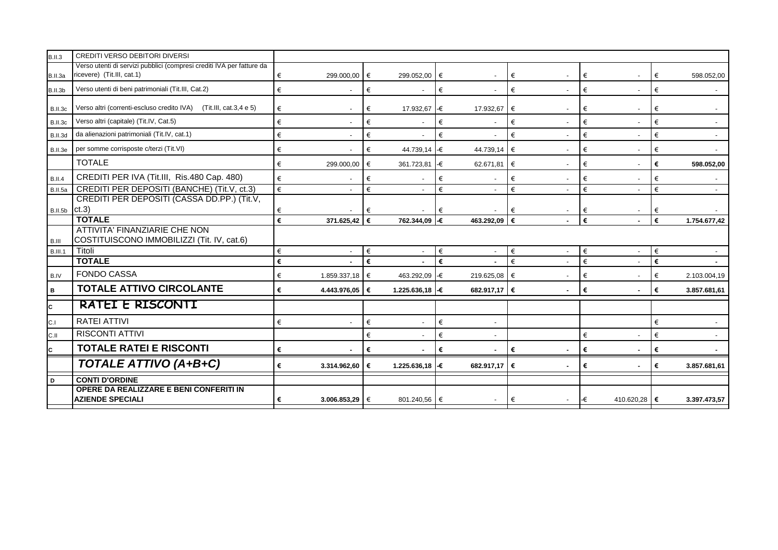| <b>B.II.3</b>  | CREDITI VERSO DEBITORI DIVERSI                                                                      |   |                          |     |                          |    |                          |   |                |     |              |   |                |
|----------------|-----------------------------------------------------------------------------------------------------|---|--------------------------|-----|--------------------------|----|--------------------------|---|----------------|-----|--------------|---|----------------|
| B.II.3a        | Verso utenti di servizi pubblici (compresi crediti IVA per fatture da<br>ricevere) (Tit.III, cat.1) | € | 299.000,00               | I€  | 299.052,00               | €  |                          | € |                | €   |              | € | 598.052,00     |
| B.II.3b        | Verso utenti di beni patrimoniali (Tit.III, Cat.2)                                                  | € |                          | €   |                          | €  | $\overline{\phantom{a}}$ | € |                | €   |              | € |                |
| B.II.3c        | Verso altri (correnti-escluso credito IVA) (Tit.III, cat.3,4 e 5)                                   | € | $\overline{\phantom{a}}$ | €   | 17.932,67                | -€ | 17.932,67                | € |                | €   |              | € |                |
| B.II.3c        | Verso altri (capitale) (Tit.IV, Cat.5)                                                              | € |                          | €   |                          | €  | $\overline{a}$           | € | $\sim$         | €   |              | € |                |
| B.II.3d        | da alienazioni patrimoniali (Tit.IV, cat.1)                                                         | € |                          | €   |                          | €  |                          | € |                | €   |              | € |                |
| B.II.3e        | per somme corrisposte c/terzi (Tit.VI)                                                              | € |                          | €   | 44.739,14 -€             |    | 44.739,14                | € |                | €   |              | € |                |
|                | <b>TOTALE</b>                                                                                       | € | 299.000,00               | €   | 361.723,81               | -€ | 62.671,81                | € |                | €   |              | € | 598.052,00     |
| <b>B.II.4</b>  | CREDITI PER IVA (Tit.III, Ris.480 Cap. 480)                                                         | € |                          | €   |                          | €  |                          | € |                | €   |              | € |                |
| B.II.5a        | CREDITI PER DEPOSITI (BANCHE) (Tit.V, ct.3)                                                         | € |                          | €   |                          | €  | $\blacksquare$           | € |                | €   |              | € | $\blacksquare$ |
|                | CREDITI PER DEPOSITI (CASSA DD.PP.) (Tit.V,                                                         |   |                          |     |                          |    |                          |   |                |     |              |   |                |
| B.II.5b Ct.3)  |                                                                                                     | € |                          | €   |                          | €  |                          | € |                | €   |              |   |                |
|                | <b>TOTALE</b>                                                                                       | € | 371.625,42 €             |     | 762.344,09               | l€ | 463.292.09               | € |                | €   |              | € | 1.754.677,42   |
| B.III          | ATTIVITA' FINANZIARIE CHE NON<br>COSTITUISCONO IMMOBILIZZI (Tit. IV, cat.6)                         |   |                          |     |                          |    |                          |   |                |     |              |   |                |
| <b>B.III.1</b> | Titoli                                                                                              | € | $\overline{\phantom{a}}$ | €   | $\overline{\phantom{a}}$ | €  | $\overline{\phantom{a}}$ | € |                | €   |              | € |                |
|                | <b>TOTALE</b>                                                                                       | € | $\overline{a}$           | €   | $\blacksquare$           | €  | $\overline{\phantom{a}}$ | € | $\sim$         | €   |              | € | $\sim$         |
| B.IV           | <b>FONDO CASSA</b>                                                                                  | € | 1.859.337,18 €           |     | 463.292,09 €             |    | 219.625,08 €             |   | $\blacksquare$ | €   |              | € | 2.103.004,19   |
| B              | <b>TOTALE ATTIVO CIRCOLANTE</b>                                                                     | € | 4.443.976,05 €           |     | 1.225.636,18 €           |    | 682.917,17 €             |   |                | €   |              | € | 3.857.681,61   |
| C              | RATEI E RISCONTI                                                                                    |   |                          |     |                          |    |                          |   |                |     |              |   |                |
| C.I            | <b>RATEI ATTIVI</b>                                                                                 | € |                          | €   |                          | €  |                          |   |                |     |              | € |                |
| C.II           | <b>RISCONTI ATTIVI</b>                                                                              |   |                          | €   |                          | €  |                          |   |                | €   |              | € |                |
| c.             | <b>TOTALE RATEI E RISCONTI</b>                                                                      | € |                          | €   |                          | €  |                          | € |                | €   |              | € |                |
|                | TOTALE ATTIVO (A+B+C)                                                                               | € | 3.314.962,60             | l € | 1.225.636,18 -€          |    | 682.917,17 €             |   |                | €   |              | € | 3.857.681,61   |
| D              | <b>CONTI D'ORDINE</b>                                                                               |   |                          |     |                          |    |                          |   |                |     |              |   |                |
|                | <b>OPERE DA REALIZZARE E BENI CONFERITI IN</b><br><b>AZIENDE SPECIALI</b>                           | € | 3.006.853,29 $\in$       |     | 801.240,56               | €  |                          | € |                | l-€ | 410.620,28 € |   | 3.397.473,57   |
|                |                                                                                                     |   |                          |     |                          |    |                          |   |                |     |              |   |                |